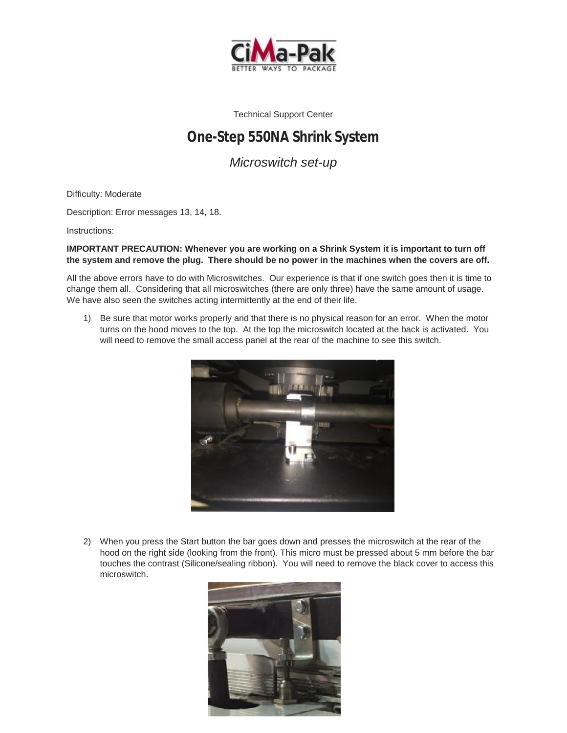

Technical Support Center

## **One-Step 550NA Shrink System**

*Microswitch set-up* 

Difficulty: Moderate

Description: Error messages 13, 14, 18.

Instructions:

## **IMPORTANT PRECAUTION: Whenever you are working on a Shrink System it is important to turn off the system and remove the plug. There should be no power in the machines when the covers are off.**

All the above errors have to do with Microswitches. Our experience is that if one switch goes then it is time to change them all. Considering that all microswitches (there are only three) have the same amount of usage. We have also seen the switches acting intermittently at the end of their life.

1) Be sure that motor works properly and that there is no physical reason for an error. When the motor turns on the hood moves to the top. At the top the microswitch located at the back is activated. You will need to remove the small access panel at the rear of the machine to see this switch.



2) When you press the Start button the bar goes down and presses the microswitch at the rear of the hood on the right side (looking from the front). This micro must be pressed about 5 mm before the bar touches the contrast (Silicone/sealing ribbon). You will need to remove the black cover to access this microswitch.